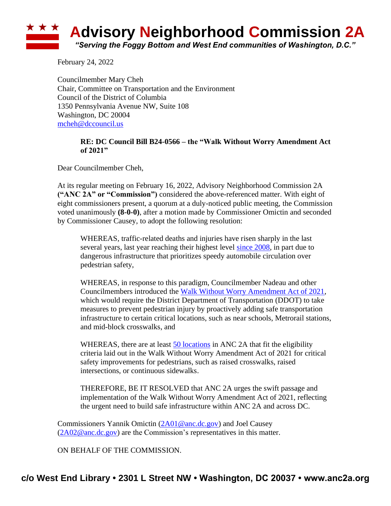## **Advisory Neighborhood Commission 2A** *"Serving the Foggy Bottom and West End communities of Washington, D.C."*

February 24, 2022

Councilmember Mary Cheh Chair, Committee on Transportation and the Environment Council of the District of Columbia 1350 Pennsylvania Avenue NW, Suite 108 Washington, DC 20004 [mcheh@dccouncil.us](mailto:mcheh@dccouncil.us)

## **RE: DC Council Bill B24-0566 – the "Walk Without Worry Amendment Act of 2021"**

Dear Councilmember Cheh,

At its regular meeting on February 16, 2022, Advisory Neighborhood Commission 2A **("ANC 2A" or "Commission")** considered the above-referenced matter. With eight of eight commissioners present, a quorum at a duly-noticed public meeting, the Commission voted unanimously **(8-0-0)**, after a motion made by Commissioner Omictin and seconded by Commissioner Causey, to adopt the following resolution:

WHEREAS, traffic-related deaths and injuries have risen sharply in the last several years, last year reaching their highest level [since 2008,](https://www.washingtonpost.com/transportation/2021/09/23/vision-zero-dc-traffic-deaths/) in part due to dangerous infrastructure that prioritizes speedy automobile circulation over pedestrian safety,

WHEREAS, in response to this paradigm, Councilmember Nadeau and other Councilmembers introduced the [Walk Without Worry Amendment Act of 2021,](https://lims.dccouncil.us/Legislation/B24-0566) which would require the District Department of Transportation (DDOT) to take measures to prevent pedestrian injury by proactively adding safe transportation infrastructure to certain critical locations, such as near schools, Metrorail stations, and mid-block crosswalks, and

WHEREAS, there are at least [50 locations](https://www.google.com/maps/d/u/0/edit?mid=1f-r-lPVVeGLID2r82Mm2fUtJemJXsP4z&usp=sharing) in ANC 2A that fit the eligibility criteria laid out in the Walk Without Worry Amendment Act of 2021 for critical safety improvements for pedestrians, such as raised crosswalks, raised intersections, or continuous sidewalks.

THEREFORE, BE IT RESOLVED that ANC 2A urges the swift passage and implementation of the Walk Without Worry Amendment Act of 2021, reflecting the urgent need to build safe infrastructure within ANC 2A and across DC.

Commissioners Yannik Omictin [\(2A01@anc.dc.gov\)](mailto:2A01@anc.dc.gov) and Joel Causey [\(2A02@anc.dc.gov\)](mailto:2A02@anc.dc.gov) are the Commission's representatives in this matter.

ON BEHALF OF THE COMMISSION.